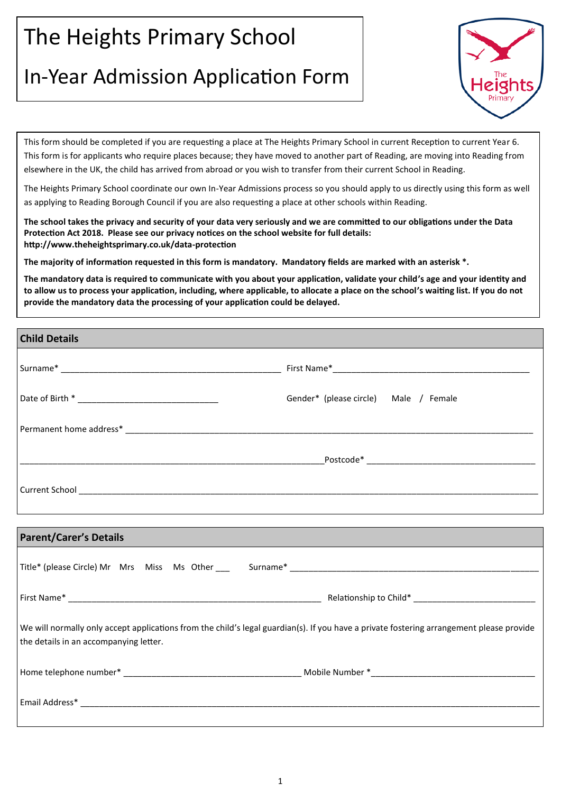## The Heights Primary School

## In-Year Admission Application Form



This form should be completed if you are requesting a place at The Heights Primary School in current Reception to current Year 6. This form is for applicants who require places because; they have moved to another part of Reading, are moving into Reading from elsewhere in the UK, the child has arrived from abroad or you wish to transfer from their current School in Reading.

The Heights Primary School coordinate our own In-Year Admissions process so you should apply to us directly using this form as well as applying to Reading Borough Council if you are also requesting a place at other schools within Reading.

**The school takes the privacy and security of your data very seriously and we are committed to our obligations under the Data Protection Act 2018. Please see our privacy notices on the school website for full details: http://www.theheightsprimary.co.uk/data-protection**

**The majority of information requested in this form is mandatory. Mandatory fields are marked with an asterisk \*.** 

**The mandatory data is required to communicate with you about your application, validate your child's age and your identity and to allow us to process your application, including, where applicable, to allocate a place on the school's waiting list. If you do not provide the mandatory data the processing of your application could be delayed.**

| <b>Child Details</b>                                                                                                                                                               |                                          |
|------------------------------------------------------------------------------------------------------------------------------------------------------------------------------------|------------------------------------------|
|                                                                                                                                                                                    |                                          |
|                                                                                                                                                                                    | Gender* (please circle)    Male / Female |
|                                                                                                                                                                                    |                                          |
|                                                                                                                                                                                    |                                          |
|                                                                                                                                                                                    |                                          |
|                                                                                                                                                                                    |                                          |
| <b>Parent/Carer's Details</b>                                                                                                                                                      |                                          |
|                                                                                                                                                                                    |                                          |
|                                                                                                                                                                                    |                                          |
| We will normally only accept applications from the child's legal guardian(s). If you have a private fostering arrangement please provide<br>the details in an accompanying letter. |                                          |
|                                                                                                                                                                                    |                                          |
|                                                                                                                                                                                    |                                          |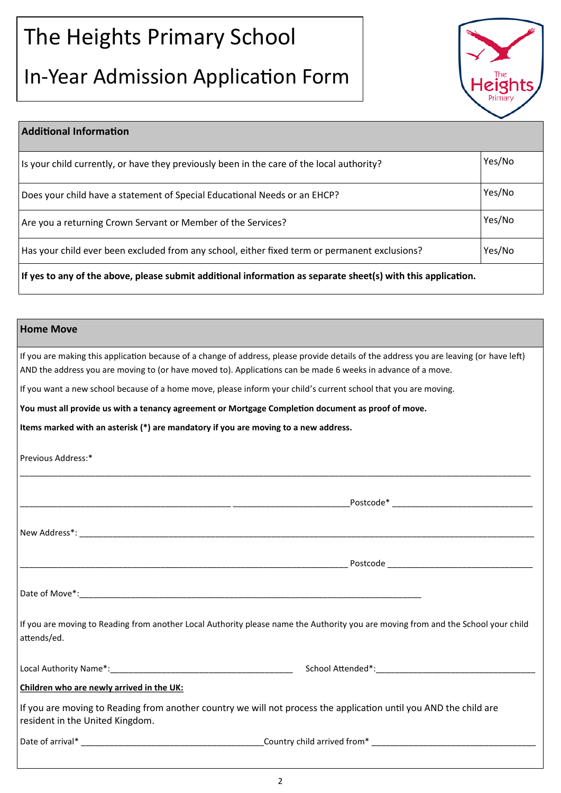# The Heights Primary School

## In-Year Admission Application Form



| <b>Additional Information</b>                                                                                |        |  |
|--------------------------------------------------------------------------------------------------------------|--------|--|
| Is your child currently, or have they previously been in the care of the local authority?                    | Yes/No |  |
| Does your child have a statement of Special Educational Needs or an EHCP?                                    |        |  |
| Are you a returning Crown Servant or Member of the Services?                                                 |        |  |
| Has your child ever been excluded from any school, either fixed term or permanent exclusions?                | Yes/No |  |
| If yes to any of the above, please submit additional information as separate sheet(s) with this application. |        |  |

### **Home Move**

If you are making this application because of a change of address, please provide details of the address you are leaving (or have left) AND the address you are moving to (or have moved to). Applications can be made 6 weeks in advance of a move.

If you want a new school because of a home move, please inform your child's current school that you are moving.

**You must all provide us with a tenancy agreement or Mortgage Completion document as proof of move.** 

**Items marked with an asterisk (\*) are mandatory if you are moving to a new address.**

Previous Address:\*

|                                           | _Postcode* ___________________________________                                                                                    |
|-------------------------------------------|-----------------------------------------------------------------------------------------------------------------------------------|
|                                           |                                                                                                                                   |
|                                           |                                                                                                                                   |
|                                           |                                                                                                                                   |
| attends/ed.                               | If you are moving to Reading from another Local Authority please name the Authority you are moving from and the School your child |
|                                           |                                                                                                                                   |
| Children who are newly arrived in the UK: |                                                                                                                                   |
| resident in the United Kingdom.           | If you are moving to Reading from another country we will not process the application until you AND the child are                 |
|                                           |                                                                                                                                   |